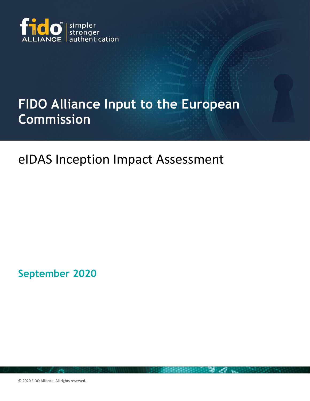

# **FIDO Alliance Input to the European Commission**

## eIDAS Inception Impact Assessment

**September 2020** 

© 2020 FIDO Alliance. All rights reserved.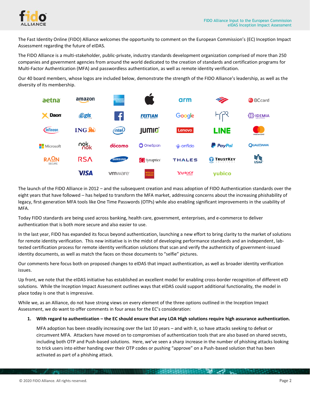

The Fast Identity Online (FIDO) Alliance welcomes the opportunity to comment on the European Commission's (EC) Inception Impact Assessment regarding the future of eIDAS.

The FIDO Alliance is a multi-stakeholder, public-private, industry standards development organization comprised of more than 250 companies and government agencies from around the world dedicated to the creation of standards and certification programs for Multi-Factor Authentication (MFA) and passwordless authentication, as well as remote identity verification.

Our 40 board members, whose logos are included below, demonstrate the strength of the FIDO Alliance's leadership, as well as the diversity of its membership.



The launch of the FIDO Alliance in 2012 – and the subsequent creation and mass adoption of FIDO Authentication standards over the eight years that have followed – has helped to transform the MFA market, addressing concerns about the increasing phishability of legacy, first-generation MFA tools like One Time Passwords (OTPs) while also enabling significant improvements in the usability of MFA.

Today FIDO standards are being used across banking, health care, government, enterprises, and e-commerce to deliver authentication that is both more secure and also easier to use.

In the last year, FIDO has expanded its focus beyond authentication, launching a new effort to bring clarity to the market of solutions for remote identity verification. This new initiative is in the midst of developing performance standards and an independent, labtested certification process for remote identity verification solutions that scan and verify the authenticity of government-issued identity documents, as well as match the faces on those documents to "selfie" pictures.

Our comments here focus both on proposed changes to eIDAS that impact authentication, as well as broader identity verification issues.

Up front, we note that the eIDAS initiative has established an excellent model for enabling cross-border recognition of different eID solutions. While the Inception Impact Assessment outlines ways that eIDAS could support additional functionality, the model in place today is one that is impressive.

While we, as an Alliance, do not have strong views on every element of the three options outlined in the Inception Impact Assessment, we do want to offer comments in four areas for the EC's consideration:

1. With regard to authentication – the EC should ensure that any LOA High solutions require high assurance authentication.

MFA adoption has been steadily increasing over the last 10 years – and with it, so have attacks seeking to defeat or circumvent MFA. Attackers have moved on to compromises of authentication tools that are also based on shared secrets, including both OTP and Push-based solutions. Here, we've seen a sharp increase in the number of phishing attacks looking to trick users into either handing over their OTP codes or pushing "approve" on a Push-based solution that has been activated as part of a phishing attack.

**BERGEDEDEDED AND ARTICLE**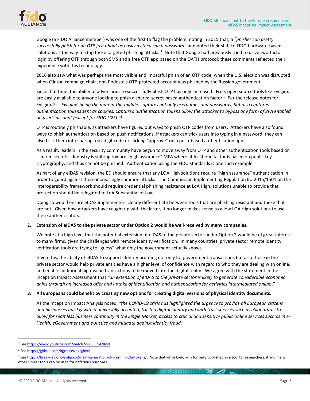

Google (a FIDO Alliance member) was one of the first to flag the problem, noting in 2015 that, a *"phisher can pretty successfully phish for an OTP just about as easily as they can a password"* and noted their shift to FIDO hardware-based solutions as the way to stop these targeted phishing attacks.<sup>1</sup> Note that Google had previously tried to drive two-factor login by offering OTP through both SMS and a free OTP app based on the OATH protocol; these comments reflected their experience with this technology.

2016 also saw what was perhaps the most visible and impactful phish of an OTP code, when the U.S. election was disrupted when Clinton campaign chair John Podesta's OTP-protected account was phished by the Russian government.

Since that time, the ability of adversaries to successfully phish OTP has only increased. Free, open source tools like Evilginx are easily available to anyone looking to phish a shared-secret-based authentication factor.<sup>2</sup> Per the release notes for Evilginx 2: *"Evilginx, being the man-in-the-middle, captures not only usernames and passwords, but also captures authentication tokens sent as cookies. Captured authentication tokens allow the attacker to bypass any form of 2FA enabled on user's account (except for FIDO U2F)."<sup>3</sup>* 

OTP is routinely phishable, as attackers have figured out ways to phish OTP codes from users. Attackers have also found ways to phish authentication based on push notifications. If attackers can trick users into typing in a password, they can also trick them into sharing a six digit code or clicking "approve" on a push-based authentication app.

As a result, leaders in the security community have begun to move away from OTP and other authentication tools based on "shared secrets." Industry is shifting toward "high assurance" MFA where at least one factor is based on public key cryptography, and thus cannot be phished. Authentication using the FIDO standards is one such example.

As part of any eIDAS revision, the ED should ensure that any LOA High solutions require "high assurance" authentication in order to guard against these increasingly common attacks. The Commission Implementing Regulation EU 2015/1501 on the interoperability framework should require credential phishing resistance at LoA High; solutions unable to provide that protection should be relegated to LoA Substantial or Low.

Doing so would ensure eIDAS implementers clearly differentiate between tools that are phishing resistant and those that are not. Given how attackers have caught up with the latter, it no longer makes sense to allow LOA High solutions to use these authenticators.

### 2. **Extension of eIDAS to the private sector under Option 2 would be well-received by many companies.**

We note at a high level that the potential extension of eIDAS to the private sector under Option 2 would be of great interest to many firms, given the challenges with remote identity verification. In many countries, private sector remote identity verification tools are trying to "guess" what only the government actually knows.

Given this, the ability of eIDAS to support identity proofing not only for government transactions but also those in the private sector would help private entities have a higher level of confidence with regard to who they are dealing with online, and enable additional high-value transactions to be moved into the digital realm. We agree with the statement in the Inception Impact Assessment that *"an extension of eIDAS to the private sector is likely to generate considerable economic gains through an increased offer and uptake of identification and authentication for activities intermediated online*."

### **3. All Europeans could benefit by creating new options for creating digital versions of physical identity documents.**

As the Inception Impact Analysis noted, *"the COVID-19 crisis has highlighted the urgency to provide all European citizens and businesses quickly with a universally accepted, trusted digital identity and with trust services such as eSignatures to allow for seamless business continuity in the Single Market, access to crucial and sensitive public online services such as in e-Health, eGovernment and e-Justice and mitigate against identity fraud."*

**SALES** 

<sup>1</sup> See <https://www.youtube.com/watch?v=UBjEfpfZ8w0>

<sup>2</sup> See <https://github.com/kgretzky/evilginx2>

<sup>&</sup>lt;sup>3</sup> See [https://breakdev.org/evilginx-2-next-generation-of-phishing-2fa-tokens/.](https://breakdev.org/evilginx-2-next-generation-of-phishing-2fa-tokens/) Note that while Evilginx is formally published as a tool for researchers, it and many other similar tools can be used for nefarious purposes.